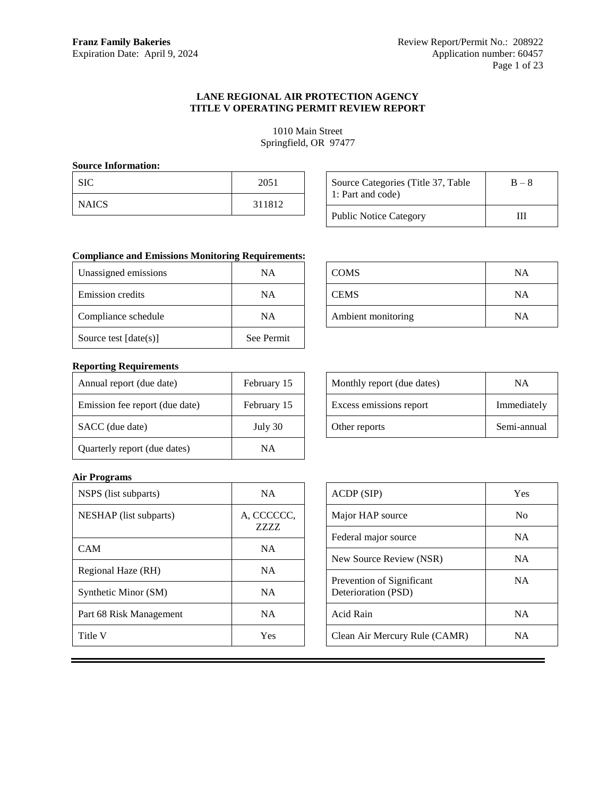# **LANE REGIONAL AIR PROTECTION AGENCY TITLE V OPERATING PERMIT REVIEW REPORT**

1010 Main Street Springfield, OR 97477

# **Source Information:**

| <b>SIC</b>   | 2051   |
|--------------|--------|
| <b>NAICS</b> | 311812 |

| Source Categories (Title 37, Table<br>1: Part and code) | $B - 8$ |  |
|---------------------------------------------------------|---------|--|
| <b>Public Notice Category</b>                           | Ш       |  |

COMS NA

CEMS NA

Ambient monitoring NA

# **Compliance and Emissions Monitoring Requirements:**

| Unassigned emissions    | ΝA         |  |
|-------------------------|------------|--|
| Emission credits        | NA         |  |
| Compliance schedule     | NA         |  |
| Source test $[date(s)]$ | See Permit |  |

# **Reporting Requirements**

| Annual report (due date)       | February 15 |
|--------------------------------|-------------|
| Emission fee report (due date) | February 15 |
| SACC (due date)                | July 30     |
| Quarterly report (due dates)   | ΝA          |

| Monthly report (due dates) | ΝA          |
|----------------------------|-------------|
| Excess emissions report    | Immediately |
|                            |             |

Other reports Semi-annual

# ACDP (SIP) Yes Major HAP source No Federal major source NA New Source Review (NSR) NA Prevention of Significant Deterioration (PSD) NA Acid Rain NA Clean Air Mercury Rule (CAMR) NA

# **Air Programs**

| NSPS (list subparts)    | <b>NA</b>              |
|-------------------------|------------------------|
| NESHAP (list subparts)  | A, CCCCCC,<br>7.7.7.7. |
| CAM                     | <b>NA</b>              |
| Regional Haze (RH)      | <b>NA</b>              |
| Synthetic Minor (SM)    | <b>NA</b>              |
| Part 68 Risk Management | <b>NA</b>              |
| Title V                 | Yes                    |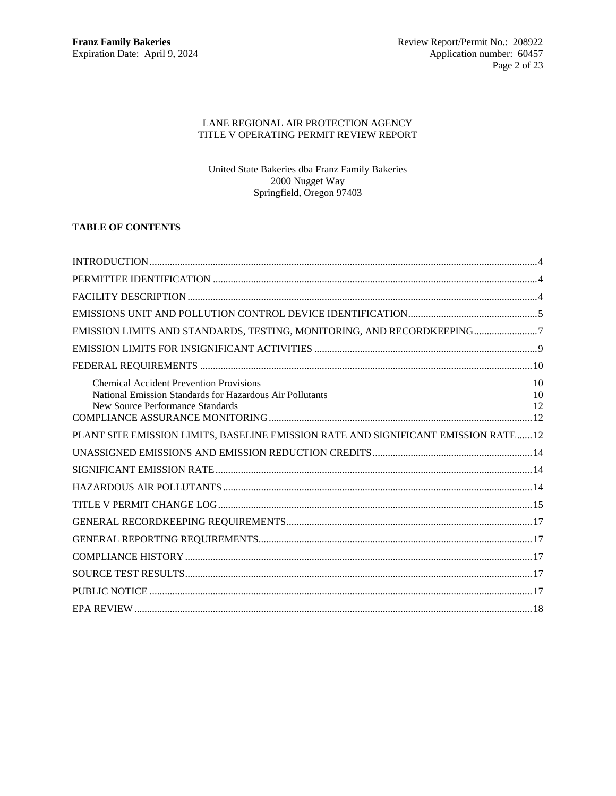# LANE REGIONAL AIR PROTECTION AGENCY TITLE V OPERATING PERMIT REVIEW REPORT

United State Bakeries dba Franz Family Bakeries 2000 Nugget Way Springfield, Oregon 97403

# **TABLE OF CONTENTS**

| EMISSION LIMITS AND STANDARDS, TESTING, MONITORING, AND RECORDKEEPING7                                                                         |                |
|------------------------------------------------------------------------------------------------------------------------------------------------|----------------|
|                                                                                                                                                |                |
|                                                                                                                                                |                |
| <b>Chemical Accident Prevention Provisions</b><br>National Emission Standards for Hazardous Air Pollutants<br>New Source Performance Standards | 10<br>10<br>12 |
| PLANT SITE EMISSION LIMITS, BASELINE EMISSION RATE AND SIGNIFICANT EMISSION RATE 12                                                            |                |
|                                                                                                                                                |                |
|                                                                                                                                                |                |
|                                                                                                                                                |                |
|                                                                                                                                                |                |
|                                                                                                                                                |                |
|                                                                                                                                                |                |
|                                                                                                                                                |                |
|                                                                                                                                                |                |
|                                                                                                                                                |                |
|                                                                                                                                                |                |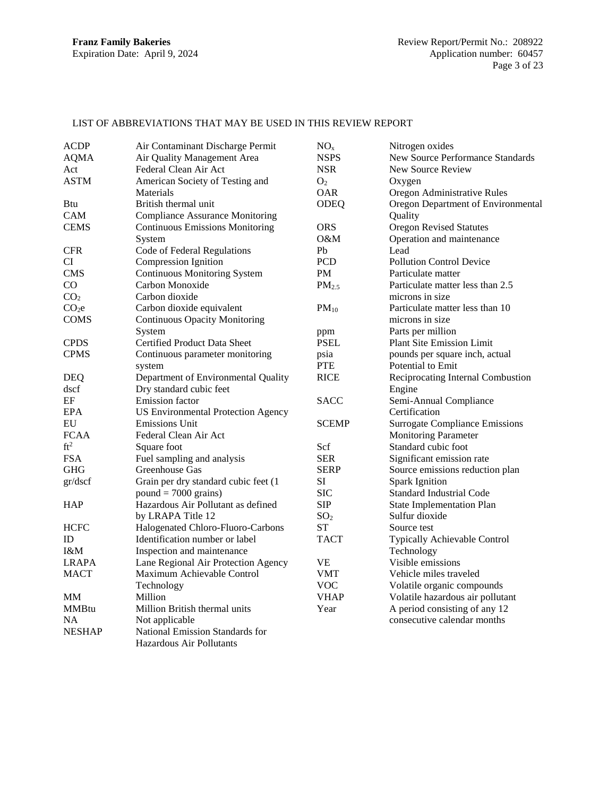# LIST OF ABBREVIATIONS THAT MAY BE USED IN THIS REVIEW REPORT

| <b>ACDP</b>                 | Air Contaminant Discharge Permit          | NO <sub>x</sub>   | Nitrogen oxides                       |
|-----------------------------|-------------------------------------------|-------------------|---------------------------------------|
| <b>AQMA</b>                 | Air Quality Management Area               | <b>NSPS</b>       | New Source Performance Standards      |
| Act                         | Federal Clean Air Act                     | <b>NSR</b>        | New Source Review                     |
| ASTM                        | American Society of Testing and           | O <sub>2</sub>    | Oxygen                                |
|                             | Materials                                 | <b>OAR</b>        | Oregon Administrative Rules           |
| Btu                         | British thermal unit                      | ODEQ              | Oregon Department of Environmental    |
| CAM                         | <b>Compliance Assurance Monitoring</b>    |                   | Quality                               |
| <b>CEMS</b>                 | <b>Continuous Emissions Monitoring</b>    | <b>ORS</b>        | <b>Oregon Revised Statutes</b>        |
|                             | System                                    | O&M               | Operation and maintenance             |
| $\ensuremath{\mathsf{CFR}}$ | Code of Federal Regulations               | Pb                | Lead                                  |
| CI                          | Compression Ignition                      | <b>PCD</b>        | <b>Pollution Control Device</b>       |
| <b>CMS</b>                  | <b>Continuous Monitoring System</b>       | <b>PM</b>         | Particulate matter                    |
| CO                          | Carbon Monoxide                           | PM <sub>2.5</sub> | Particulate matter less than 2.5      |
| CO <sub>2</sub>             | Carbon dioxide                            |                   | microns in size                       |
| CO <sub>2</sub> e           | Carbon dioxide equivalent                 | $PM_{10}$         | Particulate matter less than 10       |
| <b>COMS</b>                 | <b>Continuous Opacity Monitoring</b>      |                   | microns in size                       |
|                             | System                                    | ppm               | Parts per million                     |
| <b>CPDS</b>                 | Certified Product Data Sheet              | <b>PSEL</b>       | <b>Plant Site Emission Limit</b>      |
| <b>CPMS</b>                 | Continuous parameter monitoring           | psia              | pounds per square inch, actual        |
|                             | system                                    | <b>PTE</b>        | Potential to Emit                     |
| <b>DEQ</b>                  | Department of Environmental Quality       | <b>RICE</b>       | Reciprocating Internal Combustion     |
| dscf                        | Dry standard cubic feet                   |                   | Engine                                |
| EF                          | <b>Emission</b> factor                    | <b>SACC</b>       | Semi-Annual Compliance                |
| <b>EPA</b>                  | <b>US Environmental Protection Agency</b> |                   | Certification                         |
| EU                          | <b>Emissions Unit</b>                     | <b>SCEMP</b>      | <b>Surrogate Compliance Emissions</b> |
| <b>FCAA</b>                 | Federal Clean Air Act                     |                   | <b>Monitoring Parameter</b>           |
| ft <sup>2</sup>             | Square foot                               | Scf               | Standard cubic foot                   |
| <b>FSA</b>                  | Fuel sampling and analysis                | <b>SER</b>        | Significant emission rate             |
| <b>GHG</b>                  | Greenhouse Gas                            | <b>SERP</b>       | Source emissions reduction plan       |
| gr/dscf                     | Grain per dry standard cubic feet (1      | SI                | <b>Spark Ignition</b>                 |
|                             | $pound = 7000 \text{ grains}$             | <b>SIC</b>        | <b>Standard Industrial Code</b>       |
| HAP                         | Hazardous Air Pollutant as defined        | <b>SIP</b>        | <b>State Implementation Plan</b>      |
|                             | by LRAPA Title 12                         | SO <sub>2</sub>   | Sulfur dioxide                        |
| <b>HCFC</b>                 | Halogenated Chloro-Fluoro-Carbons         | <b>ST</b>         | Source test                           |
| ID                          | Identification number or label            | <b>TACT</b>       | Typically Achievable Control          |
| I&M                         | Inspection and maintenance                |                   | Technology                            |
| <b>LRAPA</b>                | Lane Regional Air Protection Agency       | <b>VE</b>         | Visible emissions                     |
| <b>MACT</b>                 | Maximum Achievable Control                | VMT               | Vehicle miles traveled                |
|                             | Technology                                | <b>VOC</b>        | Volatile organic compounds            |
| MM                          | Million                                   | <b>VHAP</b>       | Volatile hazardous air pollutant      |
| <b>MMBtu</b>                | Million British thermal units             | Year              | A period consisting of any 12         |
| NA                          | Not applicable                            |                   | consecutive calendar months           |
| <b>NESHAP</b>               | National Emission Standards for           |                   |                                       |
|                             | Hazardous Air Pollutants                  |                   |                                       |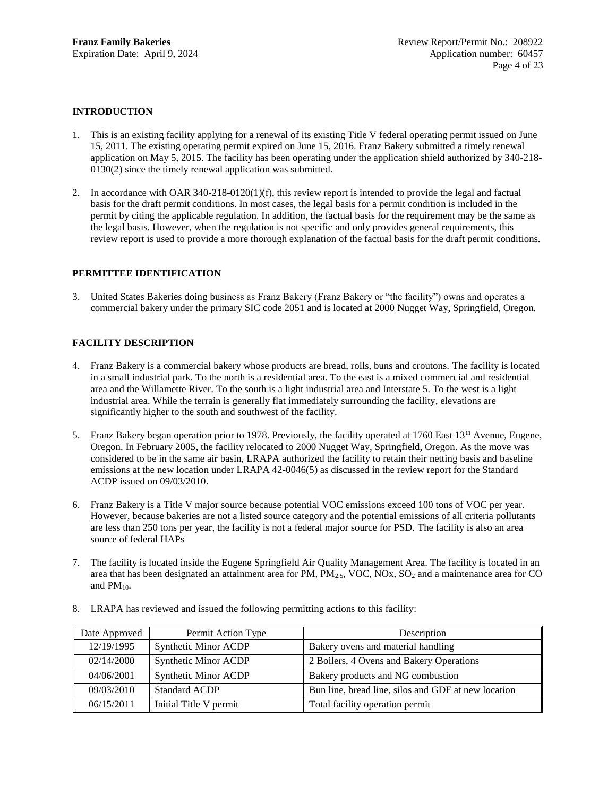# <span id="page-3-0"></span>**INTRODUCTION**

- 1. This is an existing facility applying for a renewal of its existing Title V federal operating permit issued on June 15, 2011. The existing operating permit expired on June 15, 2016. Franz Bakery submitted a timely renewal application on May 5, 2015. The facility has been operating under the application shield authorized by 340-218- 0130(2) since the timely renewal application was submitted.
- 2. In accordance with OAR 340-218-0120(1)(f), this review report is intended to provide the legal and factual basis for the draft permit conditions. In most cases, the legal basis for a permit condition is included in the permit by citing the applicable regulation. In addition, the factual basis for the requirement may be the same as the legal basis. However, when the regulation is not specific and only provides general requirements, this review report is used to provide a more thorough explanation of the factual basis for the draft permit conditions.

# <span id="page-3-1"></span>**PERMITTEE IDENTIFICATION**

3. United States Bakeries doing business as Franz Bakery (Franz Bakery or "the facility") owns and operates a commercial bakery under the primary SIC code 2051 and is located at 2000 Nugget Way, Springfield, Oregon.

# <span id="page-3-2"></span>**FACILITY DESCRIPTION**

- 4. Franz Bakery is a commercial bakery whose products are bread, rolls, buns and croutons. The facility is located in a small industrial park. To the north is a residential area. To the east is a mixed commercial and residential area and the Willamette River. To the south is a light industrial area and Interstate 5. To the west is a light industrial area. While the terrain is generally flat immediately surrounding the facility, elevations are significantly higher to the south and southwest of the facility.
- 5. Franz Bakery began operation prior to 1978. Previously, the facility operated at 1760 East  $13<sup>th</sup>$  Avenue, Eugene, Oregon. In February 2005, the facility relocated to 2000 Nugget Way, Springfield, Oregon. As the move was considered to be in the same air basin, LRAPA authorized the facility to retain their netting basis and baseline emissions at the new location under LRAPA 42-0046(5) as discussed in the review report for the Standard ACDP issued on 09/03/2010.
- 6. Franz Bakery is a Title V major source because potential VOC emissions exceed 100 tons of VOC per year. However, because bakeries are not a listed source category and the potential emissions of all criteria pollutants are less than 250 tons per year, the facility is not a federal major source for PSD. The facility is also an area source of federal HAPs
- 7. The facility is located inside the Eugene Springfield Air Quality Management Area. The facility is located in an area that has been designated an attainment area for PM,  $PM_{2.5}$ , VOC, NOx, SO<sub>2</sub> and a maintenance area for CO and  $PM_{10}$ .

| Date Approved | Permit Action Type          | Description                                         |
|---------------|-----------------------------|-----------------------------------------------------|
| 12/19/1995    | <b>Synthetic Minor ACDP</b> | Bakery ovens and material handling                  |
| 02/14/2000    | <b>Synthetic Minor ACDP</b> | 2 Boilers, 4 Ovens and Bakery Operations            |
| 04/06/2001    | <b>Synthetic Minor ACDP</b> | Bakery products and NG combustion                   |
| 09/03/2010    | <b>Standard ACDP</b>        | Bun line, bread line, silos and GDF at new location |
| 06/15/2011    | Initial Title V permit      | Total facility operation permit                     |

8. LRAPA has reviewed and issued the following permitting actions to this facility: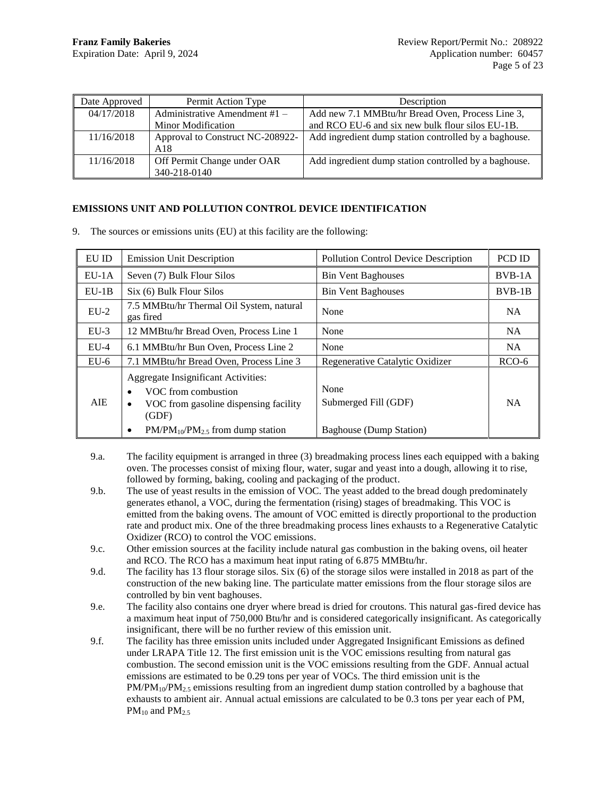| Date Approved | Permit Action Type               | Description                                           |
|---------------|----------------------------------|-------------------------------------------------------|
| 04/17/2018    | Administrative Amendment $#1 -$  | Add new 7.1 MMBtu/hr Bread Oven, Process Line 3,      |
|               | Minor Modification               | and RCO EU-6 and six new bulk flour silos EU-1B.      |
| 11/16/2018    | Approval to Construct NC-208922- | Add ingredient dump station controlled by a baghouse. |
|               | A18                              |                                                       |
| 11/16/2018    | Off Permit Change under OAR      | Add ingredient dump station controlled by a baghouse. |
|               | 340-218-0140                     |                                                       |

# <span id="page-4-0"></span>**EMISSIONS UNIT AND POLLUTION CONTROL DEVICE IDENTIFICATION**

9. The sources or emissions units (EU) at this facility are the following:

| EU ID   | <b>Emission Unit Description</b>                                                                                                                        | <b>Pollution Control Device Description</b>             | PCD ID    |
|---------|---------------------------------------------------------------------------------------------------------------------------------------------------------|---------------------------------------------------------|-----------|
| $EU-1A$ | Seven (7) Bulk Flour Silos                                                                                                                              | <b>Bin Vent Baghouses</b>                               | $BVB-1A$  |
| $EU-1B$ | Six (6) Bulk Flour Silos                                                                                                                                | <b>Bin Vent Baghouses</b>                               | $BVB-1B$  |
| $EU-2$  | 7.5 MMBtu/hr Thermal Oil System, natural<br>gas fired                                                                                                   | None                                                    | <b>NA</b> |
| $EU-3$  | 12 MMBtu/hr Bread Oven, Process Line 1                                                                                                                  | None                                                    | <b>NA</b> |
| $EU-4$  | 6.1 MMBtu/hr Bun Oven, Process Line 2                                                                                                                   | None                                                    | <b>NA</b> |
| $EU-6$  | 7.1 MMBtu/hr Bread Oven, Process Line 3                                                                                                                 | Regenerative Catalytic Oxidizer                         | $RCO-6$   |
| AIE.    | Aggregate Insignificant Activities:<br>VOC from combustion<br>VOC from gasoline dispensing facility<br>(GDF)<br>$PM/PM_{10}/PM_{2.5}$ from dump station | None<br>Submerged Fill (GDF)<br>Baghouse (Dump Station) | <b>NA</b> |

- 9.a. The facility equipment is arranged in three (3) breadmaking process lines each equipped with a baking oven. The processes consist of mixing flour, water, sugar and yeast into a dough, allowing it to rise, followed by forming, baking, cooling and packaging of the product.
- 9.b. The use of yeast results in the emission of VOC. The yeast added to the bread dough predominately generates ethanol, a VOC, during the fermentation (rising) stages of breadmaking. This VOC is emitted from the baking ovens. The amount of VOC emitted is directly proportional to the production rate and product mix. One of the three breadmaking process lines exhausts to a Regenerative Catalytic Oxidizer (RCO) to control the VOC emissions.
- 9.c. Other emission sources at the facility include natural gas combustion in the baking ovens, oil heater and RCO. The RCO has a maximum heat input rating of 6.875 MMBtu/hr.
- 9.d. The facility has 13 flour storage silos. Six (6) of the storage silos were installed in 2018 as part of the construction of the new baking line. The particulate matter emissions from the flour storage silos are controlled by bin vent baghouses.
- 9.e. The facility also contains one dryer where bread is dried for croutons. This natural gas-fired device has a maximum heat input of 750,000 Btu/hr and is considered categorically insignificant. As categorically insignificant, there will be no further review of this emission unit.
- 9.f. The facility has three emission units included under Aggregated Insignificant Emissions as defined under LRAPA Title 12. The first emission unit is the VOC emissions resulting from natural gas combustion. The second emission unit is the VOC emissions resulting from the GDF. Annual actual emissions are estimated to be 0.29 tons per year of VOCs. The third emission unit is the  $PM/PM_{10}/PM_{2.5}$  emissions resulting from an ingredient dump station controlled by a baghouse that exhausts to ambient air. Annual actual emissions are calculated to be 0.3 tons per year each of PM,  $PM_{10}$  and  $PM_{2.5}$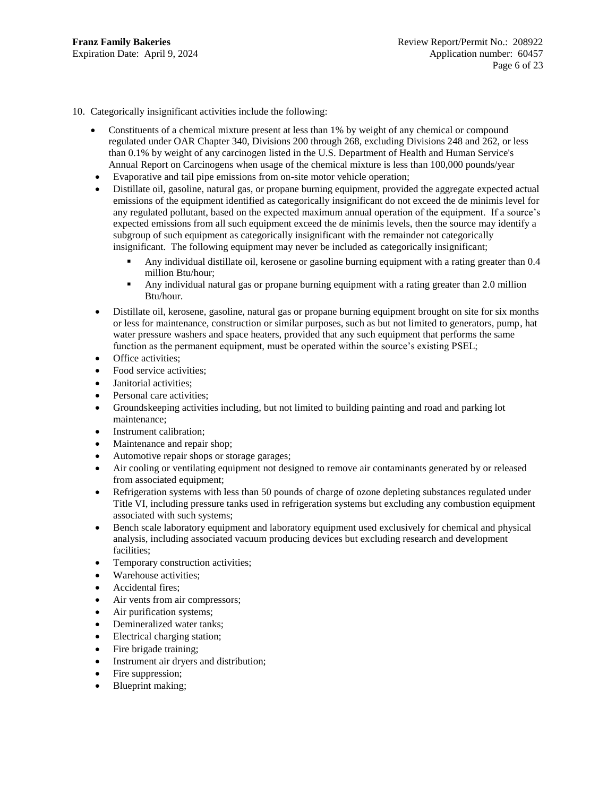10. Categorically insignificant activities include the following:

- Constituents of a chemical mixture present at less than 1% by weight of any chemical or compound regulated under OAR Chapter 340, Divisions 200 through 268, excluding Divisions 248 and 262, or less than 0.1% by weight of any carcinogen listed in the U.S. Department of Health and Human Service's Annual Report on Carcinogens when usage of the chemical mixture is less than 100,000 pounds/year
- Evaporative and tail pipe emissions from on-site motor vehicle operation;
- Distillate oil, gasoline, natural gas, or propane burning equipment, provided the aggregate expected actual emissions of the equipment identified as categorically insignificant do not exceed the de minimis level for any regulated pollutant, based on the expected maximum annual operation of the equipment. If a source's expected emissions from all such equipment exceed the de minimis levels, then the source may identify a subgroup of such equipment as categorically insignificant with the remainder not categorically insignificant. The following equipment may never be included as categorically insignificant;
	- Any individual distillate oil, kerosene or gasoline burning equipment with a rating greater than 0.4 million Btu/hour;
	- Any individual natural gas or propane burning equipment with a rating greater than 2.0 million Btu/hour.
- Distillate oil, kerosene, gasoline, natural gas or propane burning equipment brought on site for six months or less for maintenance, construction or similar purposes, such as but not limited to generators, pump, hat water pressure washers and space heaters, provided that any such equipment that performs the same function as the permanent equipment, must be operated within the source's existing PSEL;
- Office activities:
- Food service activities;
- Janitorial activities;
- Personal care activities:
- Groundskeeping activities including, but not limited to building painting and road and parking lot maintenance;
- Instrument calibration;
- Maintenance and repair shop;
- Automotive repair shops or storage garages;
- Air cooling or ventilating equipment not designed to remove air contaminants generated by or released from associated equipment;
- Refrigeration systems with less than 50 pounds of charge of ozone depleting substances regulated under Title VI, including pressure tanks used in refrigeration systems but excluding any combustion equipment associated with such systems;
- Bench scale laboratory equipment and laboratory equipment used exclusively for chemical and physical analysis, including associated vacuum producing devices but excluding research and development facilities;
- Temporary construction activities;
- Warehouse activities;
- Accidental fires;
- Air vents from air compressors;
- Air purification systems;
- Demineralized water tanks;
- Electrical charging station;
- Fire brigade training;
- Instrument air dryers and distribution;
- Fire suppression;
- Blueprint making;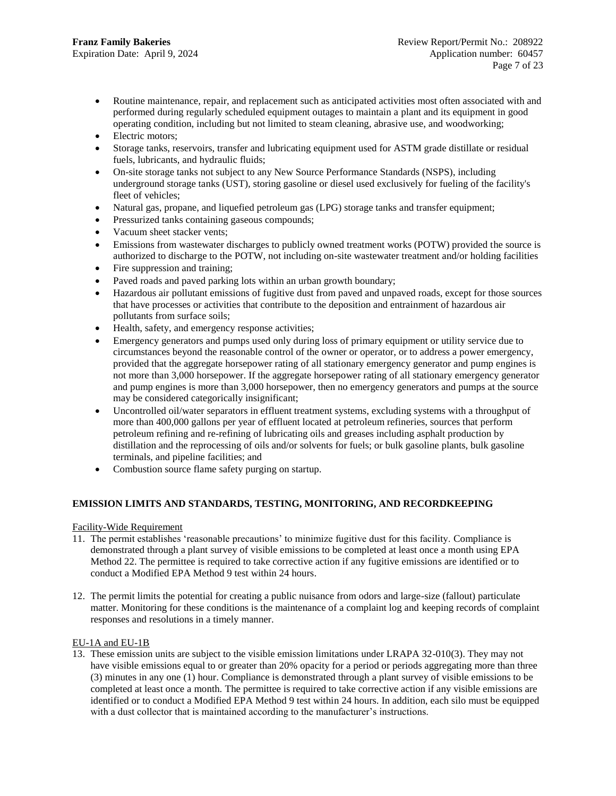- Routine maintenance, repair, and replacement such as anticipated activities most often associated with and performed during regularly scheduled equipment outages to maintain a plant and its equipment in good operating condition, including but not limited to steam cleaning, abrasive use, and woodworking;
- Electric motors:
- Storage tanks, reservoirs, transfer and lubricating equipment used for ASTM grade distillate or residual fuels, lubricants, and hydraulic fluids;
- On-site storage tanks not subject to any New Source Performance Standards (NSPS), including underground storage tanks (UST), storing gasoline or diesel used exclusively for fueling of the facility's fleet of vehicles;
- Natural gas, propane, and liquefied petroleum gas (LPG) storage tanks and transfer equipment;
- Pressurized tanks containing gaseous compounds;
- Vacuum sheet stacker vents;
- Emissions from wastewater discharges to publicly owned treatment works (POTW) provided the source is authorized to discharge to the POTW, not including on-site wastewater treatment and/or holding facilities
- Fire suppression and training;
- Paved roads and paved parking lots within an urban growth boundary;
- Hazardous air pollutant emissions of fugitive dust from paved and unpaved roads, except for those sources that have processes or activities that contribute to the deposition and entrainment of hazardous air pollutants from surface soils;
- Health, safety, and emergency response activities;
- Emergency generators and pumps used only during loss of primary equipment or utility service due to circumstances beyond the reasonable control of the owner or operator, or to address a power emergency, provided that the aggregate horsepower rating of all stationary emergency generator and pump engines is not more than 3,000 horsepower. If the aggregate horsepower rating of all stationary emergency generator and pump engines is more than 3,000 horsepower, then no emergency generators and pumps at the source may be considered categorically insignificant;
- Uncontrolled oil/water separators in effluent treatment systems, excluding systems with a throughput of more than 400,000 gallons per year of effluent located at petroleum refineries, sources that perform petroleum refining and re-refining of lubricating oils and greases including asphalt production by distillation and the reprocessing of oils and/or solvents for fuels; or bulk gasoline plants, bulk gasoline terminals, and pipeline facilities; and
- <span id="page-6-0"></span>Combustion source flame safety purging on startup.

# **EMISSION LIMITS AND STANDARDS, TESTING, MONITORING, AND RECORDKEEPING**

# Facility-Wide Requirement

- 11. The permit establishes 'reasonable precautions' to minimize fugitive dust for this facility. Compliance is demonstrated through a plant survey of visible emissions to be completed at least once a month using EPA Method 22. The permittee is required to take corrective action if any fugitive emissions are identified or to conduct a Modified EPA Method 9 test within 24 hours.
- 12. The permit limits the potential for creating a public nuisance from odors and large-size (fallout) particulate matter. Monitoring for these conditions is the maintenance of a complaint log and keeping records of complaint responses and resolutions in a timely manner.

# EU-1A and EU-1B

13. These emission units are subject to the visible emission limitations under LRAPA 32-010(3). They may not have visible emissions equal to or greater than 20% opacity for a period or periods aggregating more than three (3) minutes in any one (1) hour. Compliance is demonstrated through a plant survey of visible emissions to be completed at least once a month. The permittee is required to take corrective action if any visible emissions are identified or to conduct a Modified EPA Method 9 test within 24 hours. In addition, each silo must be equipped with a dust collector that is maintained according to the manufacturer's instructions.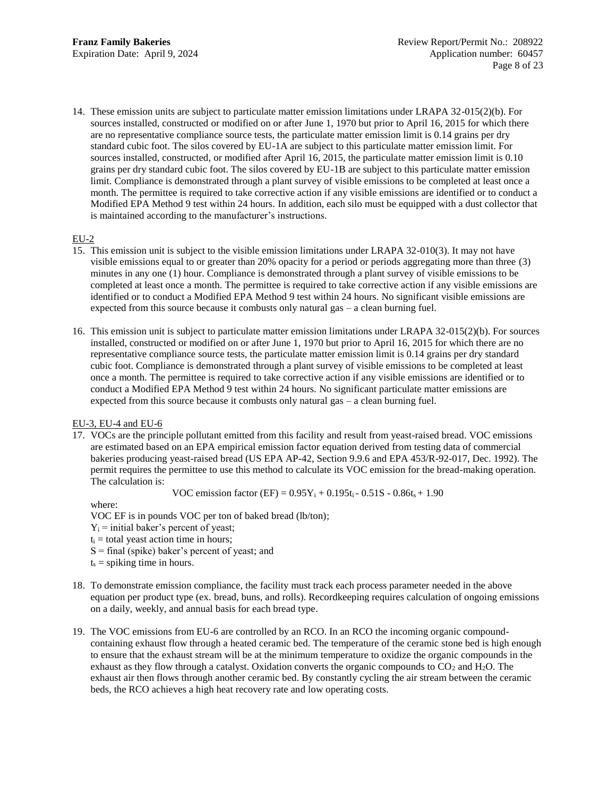14. These emission units are subject to particulate matter emission limitations under LRAPA 32-015(2)(b). For sources installed, constructed or modified on or after June 1, 1970 but prior to April 16, 2015 for which there are no representative compliance source tests, the particulate matter emission limit is 0.14 grains per dry standard cubic foot. The silos covered by EU-1A are subject to this particulate matter emission limit. For sources installed, constructed, or modified after April 16, 2015, the particulate matter emission limit is 0.10 grains per dry standard cubic foot. The silos covered by EU-1B are subject to this particulate matter emission limit. Compliance is demonstrated through a plant survey of visible emissions to be completed at least once a month. The permittee is required to take corrective action if any visible emissions are identified or to conduct a Modified EPA Method 9 test within 24 hours. In addition, each silo must be equipped with a dust collector that is maintained according to the manufacturer's instructions.

## EU-2

- 15. This emission unit is subject to the visible emission limitations under LRAPA 32-010(3). It may not have visible emissions equal to or greater than 20% opacity for a period or periods aggregating more than three (3) minutes in any one (1) hour. Compliance is demonstrated through a plant survey of visible emissions to be completed at least once a month. The permittee is required to take corrective action if any visible emissions are identified or to conduct a Modified EPA Method 9 test within 24 hours. No significant visible emissions are expected from this source because it combusts only natural gas – a clean burning fuel.
- 16. This emission unit is subject to particulate matter emission limitations under LRAPA 32-015(2)(b). For sources installed, constructed or modified on or after June 1, 1970 but prior to April 16, 2015 for which there are no representative compliance source tests, the particulate matter emission limit is 0.14 grains per dry standard cubic foot. Compliance is demonstrated through a plant survey of visible emissions to be completed at least once a month. The permittee is required to take corrective action if any visible emissions are identified or to conduct a Modified EPA Method 9 test within 24 hours. No significant particulate matter emissions are expected from this source because it combusts only natural gas – a clean burning fuel.

# EU-3, EU-4 and EU-6

17. VOCs are the principle pollutant emitted from this facility and result from yeast-raised bread. VOC emissions are estimated based on an EPA empirical emission factor equation derived from testing data of commercial bakeries producing yeast-raised bread (US EPA AP-42, Section 9.9.6 and EPA 453/R-92-017, Dec. 1992). The permit requires the permittee to use this method to calculate its VOC emission for the bread-making operation. The calculation is:

VOC emission factor (EF) =  $0.95Y_i + 0.195t_i - 0.51S - 0.86t_s + 1.90$ 

where:

VOC EF is in pounds VOC per ton of baked bread (lb/ton);

 $Y_i$  = initial baker's percent of yeast;

- $t_i$  = total yeast action time in hours;
- S = final (spike) baker's percent of yeast; and
- $t_s$  = spiking time in hours.
- 18. To demonstrate emission compliance, the facility must track each process parameter needed in the above equation per product type (ex. bread, buns, and rolls). Recordkeeping requires calculation of ongoing emissions on a daily, weekly, and annual basis for each bread type.
- 19. The VOC emissions from EU-6 are controlled by an RCO. In an RCO the incoming organic compoundcontaining exhaust flow through a heated ceramic bed. The temperature of the ceramic stone bed is high enough to ensure that the exhaust stream will be at the minimum temperature to oxidize the organic compounds in the exhaust as they flow through a catalyst. Oxidation converts the organic compounds to  $CO<sub>2</sub>$  and  $H<sub>2</sub>O$ . The exhaust air then flows through another ceramic bed. By constantly cycling the air stream between the ceramic beds, the RCO achieves a high heat recovery rate and low operating costs.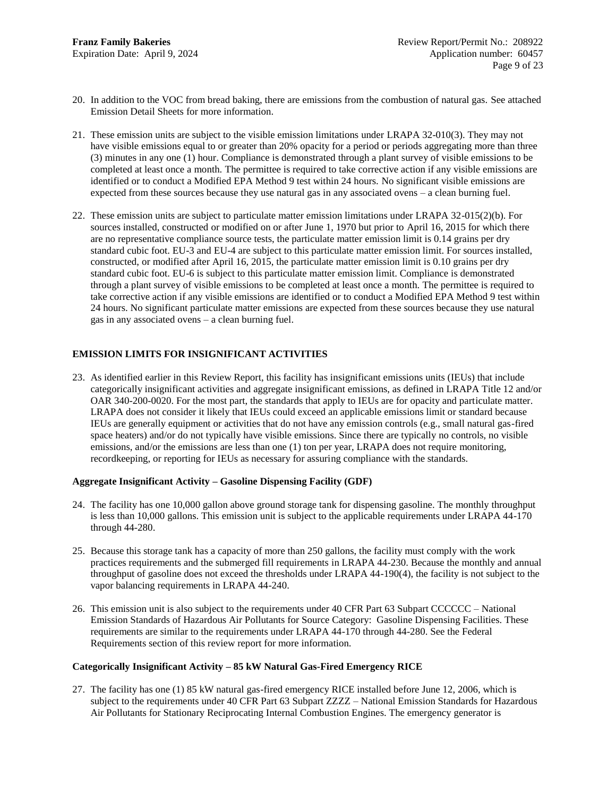- 20. In addition to the VOC from bread baking, there are emissions from the combustion of natural gas. See attached Emission Detail Sheets for more information.
- 21. These emission units are subject to the visible emission limitations under LRAPA 32-010(3). They may not have visible emissions equal to or greater than 20% opacity for a period or periods aggregating more than three (3) minutes in any one (1) hour. Compliance is demonstrated through a plant survey of visible emissions to be completed at least once a month. The permittee is required to take corrective action if any visible emissions are identified or to conduct a Modified EPA Method 9 test within 24 hours. No significant visible emissions are expected from these sources because they use natural gas in any associated ovens – a clean burning fuel.
- 22. These emission units are subject to particulate matter emission limitations under LRAPA 32-015(2)(b). For sources installed, constructed or modified on or after June 1, 1970 but prior to April 16, 2015 for which there are no representative compliance source tests, the particulate matter emission limit is 0.14 grains per dry standard cubic foot. EU-3 and EU-4 are subject to this particulate matter emission limit. For sources installed, constructed, or modified after April 16, 2015, the particulate matter emission limit is 0.10 grains per dry standard cubic foot. EU-6 is subject to this particulate matter emission limit. Compliance is demonstrated through a plant survey of visible emissions to be completed at least once a month. The permittee is required to take corrective action if any visible emissions are identified or to conduct a Modified EPA Method 9 test within 24 hours. No significant particulate matter emissions are expected from these sources because they use natural gas in any associated ovens – a clean burning fuel.

# <span id="page-8-0"></span>**EMISSION LIMITS FOR INSIGNIFICANT ACTIVITIES**

23. As identified earlier in this Review Report, this facility has insignificant emissions units (IEUs) that include categorically insignificant activities and aggregate insignificant emissions, as defined in LRAPA Title 12 and/or OAR 340-200-0020. For the most part, the standards that apply to IEUs are for opacity and particulate matter. LRAPA does not consider it likely that IEUs could exceed an applicable emissions limit or standard because IEUs are generally equipment or activities that do not have any emission controls (e.g., small natural gas-fired space heaters) and/or do not typically have visible emissions. Since there are typically no controls, no visible emissions, and/or the emissions are less than one (1) ton per year, LRAPA does not require monitoring, recordkeeping, or reporting for IEUs as necessary for assuring compliance with the standards.

# **Aggregate Insignificant Activity – Gasoline Dispensing Facility (GDF)**

- 24. The facility has one 10,000 gallon above ground storage tank for dispensing gasoline. The monthly throughput is less than 10,000 gallons. This emission unit is subject to the applicable requirements under LRAPA 44-170 through 44-280.
- 25. Because this storage tank has a capacity of more than 250 gallons, the facility must comply with the work practices requirements and the submerged fill requirements in LRAPA 44-230. Because the monthly and annual throughput of gasoline does not exceed the thresholds under LRAPA 44-190(4), the facility is not subject to the vapor balancing requirements in LRAPA 44-240.
- 26. This emission unit is also subject to the requirements under 40 CFR Part 63 Subpart CCCCCC National Emission Standards of Hazardous Air Pollutants for Source Category: Gasoline Dispensing Facilities. These requirements are similar to the requirements under LRAPA 44-170 through 44-280. See the Federal Requirements section of this review report for more information.

### **Categorically Insignificant Activity – 85 kW Natural Gas-Fired Emergency RICE**

27. The facility has one (1) 85 kW natural gas-fired emergency RICE installed before June 12, 2006, which is subject to the requirements under 40 CFR Part 63 Subpart ZZZZ – National Emission Standards for Hazardous Air Pollutants for Stationary Reciprocating Internal Combustion Engines. The emergency generator is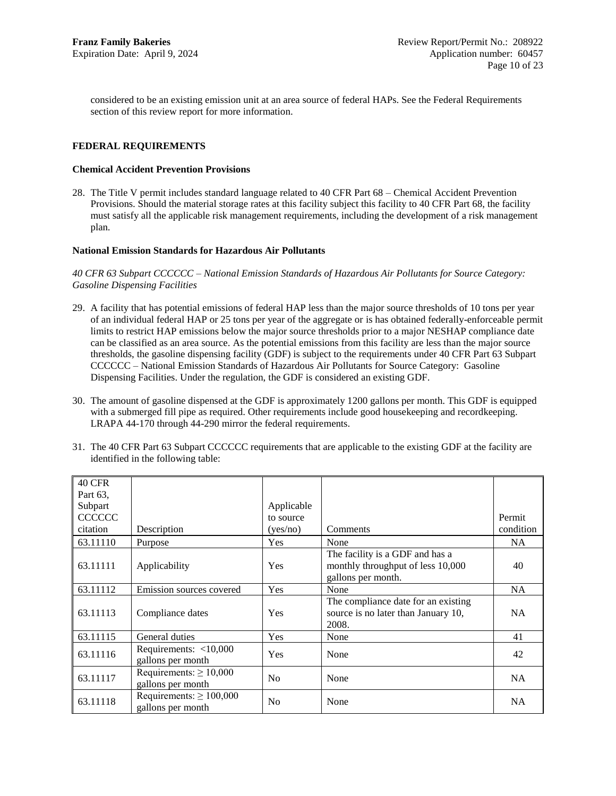<span id="page-9-1"></span><span id="page-9-0"></span>considered to be an existing emission unit at an area source of federal HAPs. See the Federal Requirements section of this review report for more information.

# **FEDERAL REQUIREMENTS**

## **Chemical Accident Prevention Provisions**

28. The Title V permit includes standard language related to 40 CFR Part 68 – Chemical Accident Prevention Provisions. Should the material storage rates at this facility subject this facility to 40 CFR Part 68, the facility must satisfy all the applicable risk management requirements, including the development of a risk management plan.

## <span id="page-9-2"></span>**National Emission Standards for Hazardous Air Pollutants**

*40 CFR 63 Subpart CCCCCC – National Emission Standards of Hazardous Air Pollutants for Source Category: Gasoline Dispensing Facilities*

- 29. A facility that has potential emissions of federal HAP less than the major source thresholds of 10 tons per year of an individual federal HAP or 25 tons per year of the aggregate or is has obtained federally-enforceable permit limits to restrict HAP emissions below the major source thresholds prior to a major NESHAP compliance date can be classified as an area source. As the potential emissions from this facility are less than the major source thresholds, the gasoline dispensing facility (GDF) is subject to the requirements under 40 CFR Part 63 Subpart CCCCCC – National Emission Standards of Hazardous Air Pollutants for Source Category: Gasoline Dispensing Facilities. Under the regulation, the GDF is considered an existing GDF.
- 30. The amount of gasoline dispensed at the GDF is approximately 1200 gallons per month. This GDF is equipped with a submerged fill pipe as required. Other requirements include good housekeeping and recordkeeping. LRAPA 44-170 through 44-290 mirror the federal requirements.

| <b>40 CFR</b>  |                                                   |                |                                                                                            |           |
|----------------|---------------------------------------------------|----------------|--------------------------------------------------------------------------------------------|-----------|
| Part 63.       |                                                   |                |                                                                                            |           |
| Subpart        |                                                   | Applicable     |                                                                                            |           |
| <b>CCCCCCC</b> |                                                   | to source      |                                                                                            | Permit    |
| citation       | Description                                       | (yes/no)       | Comments                                                                                   | condition |
| 63.11110       | Purpose                                           | Yes            | None                                                                                       | NA.       |
| 63.11111       | Applicability                                     | <b>Yes</b>     | The facility is a GDF and has a<br>monthly throughput of less 10,000<br>gallons per month. | 40        |
| 63.11112       | Emission sources covered                          | Yes            | None                                                                                       | NA        |
| 63.11113       | Compliance dates                                  | <b>Yes</b>     | The compliance date for an existing<br>source is no later than January 10,<br>2008.        | NA.       |
| 63.11115       | General duties                                    | Yes            | None                                                                                       | 41        |
| 63.11116       | Requirements: $<$ 10,000<br>gallons per month     | <b>Yes</b>     | None                                                                                       | 42        |
| 63.11117       | Requirements: $\geq 10,000$<br>gallons per month  | N <sub>0</sub> | None                                                                                       | NA        |
| 63.11118       | Requirements: $\geq 100,000$<br>gallons per month | N <sub>0</sub> | None                                                                                       | <b>NA</b> |

31. The 40 CFR Part 63 Subpart CCCCCC requirements that are applicable to the existing GDF at the facility are identified in the following table: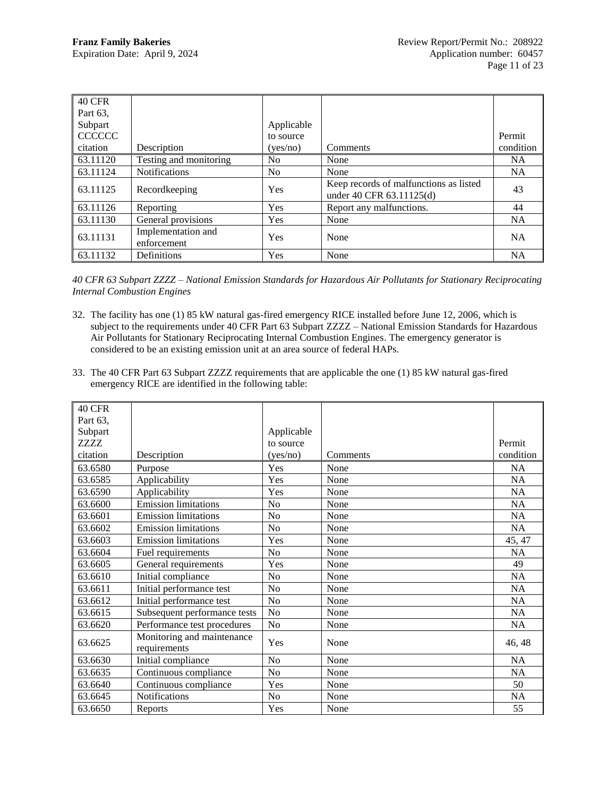| <b>40 CFR</b>  |                                   |                |                                                                    |           |
|----------------|-----------------------------------|----------------|--------------------------------------------------------------------|-----------|
| Part 63.       |                                   |                |                                                                    |           |
| Subpart        |                                   | Applicable     |                                                                    |           |
| <b>CCCCCCC</b> |                                   | to source      |                                                                    | Permit    |
| citation       | Description                       | (yes/no)       | Comments                                                           | condition |
| 63.11120       | Testing and monitoring            | N <sub>0</sub> | None                                                               | <b>NA</b> |
| 63.11124       | <b>Notifications</b>              | N <sub>0</sub> | None                                                               | <b>NA</b> |
| 63.11125       | Recordkeeping                     | Yes            | Keep records of malfunctions as listed<br>under 40 CFR 63.11125(d) | 43        |
| 63.11126       | Reporting                         | Yes            | Report any malfunctions.                                           | 44        |
| 63.11130       | General provisions                | Yes            | None                                                               | <b>NA</b> |
| 63.11131       | Implementation and<br>enforcement | Yes            | None                                                               | <b>NA</b> |
| 63.11132       | Definitions                       | Yes            | None                                                               | <b>NA</b> |

*40 CFR 63 Subpart ZZZZ – National Emission Standards for Hazardous Air Pollutants for Stationary Reciprocating Internal Combustion Engines*

- 32. The facility has one (1) 85 kW natural gas-fired emergency RICE installed before June 12, 2006, which is subject to the requirements under 40 CFR Part 63 Subpart ZZZZ – National Emission Standards for Hazardous Air Pollutants for Stationary Reciprocating Internal Combustion Engines. The emergency generator is considered to be an existing emission unit at an area source of federal HAPs.
- 33. The 40 CFR Part 63 Subpart ZZZZ requirements that are applicable the one (1) 85 kW natural gas-fired emergency RICE are identified in the following table:

| 40 CFR      |                                            |                |          |           |
|-------------|--------------------------------------------|----------------|----------|-----------|
| Part 63,    |                                            |                |          |           |
| Subpart     |                                            | Applicable     |          |           |
| <b>ZZZZ</b> |                                            | to source      |          | Permit    |
| citation    | Description                                | (yes/no)       | Comments | condition |
| 63.6580     | Purpose                                    | Yes            | None     | <b>NA</b> |
| 63.6585     | Applicability                              | Yes            | None     | NA        |
| 63.6590     | Applicability                              | Yes            | None     | <b>NA</b> |
| 63.6600     | <b>Emission limitations</b>                | No             | None     | NA        |
| 63.6601     | <b>Emission limitations</b>                | No             | None     | NA        |
| 63.6602     | <b>Emission limitations</b>                | N <sub>o</sub> | None     | <b>NA</b> |
| 63.6603     | <b>Emission limitations</b>                | Yes            | None     | 45, 47    |
| 63.6604     | Fuel requirements                          | N <sub>o</sub> | None     | <b>NA</b> |
| 63.6605     | General requirements                       | Yes            | None     | 49        |
| 63.6610     | Initial compliance                         | N <sub>o</sub> | None     | <b>NA</b> |
| 63.6611     | Initial performance test                   | N <sub>o</sub> | None     | <b>NA</b> |
| 63.6612     | Initial performance test                   | N <sub>o</sub> | None     | <b>NA</b> |
| 63.6615     | Subsequent performance tests               | No             | None     | NA        |
| 63.6620     | Performance test procedures                | N <sub>o</sub> | None     | <b>NA</b> |
| 63.6625     | Monitoring and maintenance<br>requirements | Yes            | None     | 46, 48    |
| 63.6630     | Initial compliance                         | No             | None     | NA        |
| 63.6635     | Continuous compliance                      | No             | None     | <b>NA</b> |
| 63.6640     | Continuous compliance                      | Yes            | None     | 50        |
| 63.6645     | <b>Notifications</b>                       | N <sub>o</sub> | None     | <b>NA</b> |
| 63.6650     | Reports                                    | Yes            | None     | 55        |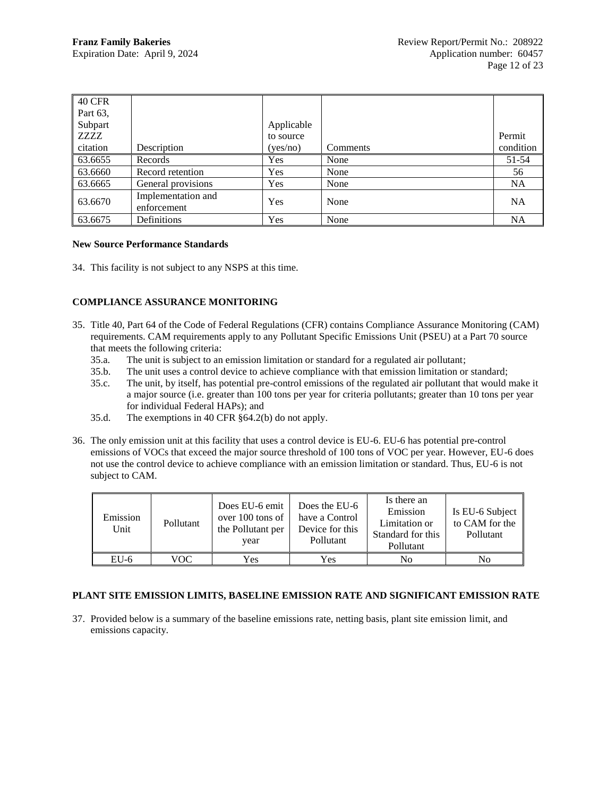| 40 CFR   |                                   |            |          |           |
|----------|-----------------------------------|------------|----------|-----------|
| Part 63, |                                   |            |          |           |
| Subpart  |                                   | Applicable |          |           |
| ZZZZ     |                                   | to source  |          | Permit    |
| citation | Description                       | (yes/no)   | Comments | condition |
| 63.6655  | Records                           | Yes        | None     | $51-54$   |
| 63.6660  | Record retention                  | <b>Yes</b> | None     | 56        |
| 63.6665  | General provisions                | Yes        | None     | <b>NA</b> |
| 63.6670  | Implementation and<br>enforcement | Yes        | None     | <b>NA</b> |
| 63.6675  | Definitions                       | Yes        | None     | <b>NA</b> |

### <span id="page-11-0"></span>**New Source Performance Standards**

34. This facility is not subject to any NSPS at this time.

# <span id="page-11-1"></span>**COMPLIANCE ASSURANCE MONITORING**

- 35. Title 40, Part 64 of the Code of Federal Regulations (CFR) contains Compliance Assurance Monitoring (CAM) requirements. CAM requirements apply to any Pollutant Specific Emissions Unit (PSEU) at a Part 70 source that meets the following criteria:
	- 35.a. The unit is subject to an emission limitation or standard for a regulated air pollutant;
	- 35.b. The unit uses a control device to achieve compliance with that emission limitation or standard;
	- 35.c. The unit, by itself, has potential pre-control emissions of the regulated air pollutant that would make it a major source (i.e. greater than 100 tons per year for criteria pollutants; greater than 10 tons per year for individual Federal HAPs); and
	- 35.d. The exemptions in 40 CFR §64.2(b) do not apply.
- 36. The only emission unit at this facility that uses a control device is EU-6. EU-6 has potential pre-control emissions of VOCs that exceed the major source threshold of 100 tons of VOC per year. However, EU-6 does not use the control device to achieve compliance with an emission limitation or standard. Thus, EU-6 is not subject to CAM.

<span id="page-11-2"></span>

| Emission<br>Unit | Pollutant | Does EU-6 emit<br>over 100 tons of<br>the Pollutant per<br>year | Does the EU-6<br>have a Control<br>Device for this<br>Pollutant | Is there an<br>Emission<br>Limitation or<br>Standard for this<br>Pollutant | Is EU-6 Subject<br>to CAM for the<br>Pollutant |
|------------------|-----------|-----------------------------------------------------------------|-----------------------------------------------------------------|----------------------------------------------------------------------------|------------------------------------------------|
| $EU-6$           | VOC       | Yes                                                             | Yes                                                             | No                                                                         | No                                             |

# **PLANT SITE EMISSION LIMITS, BASELINE EMISSION RATE AND SIGNIFICANT EMISSION RATE**

37. Provided below is a summary of the baseline emissions rate, netting basis, plant site emission limit, and emissions capacity.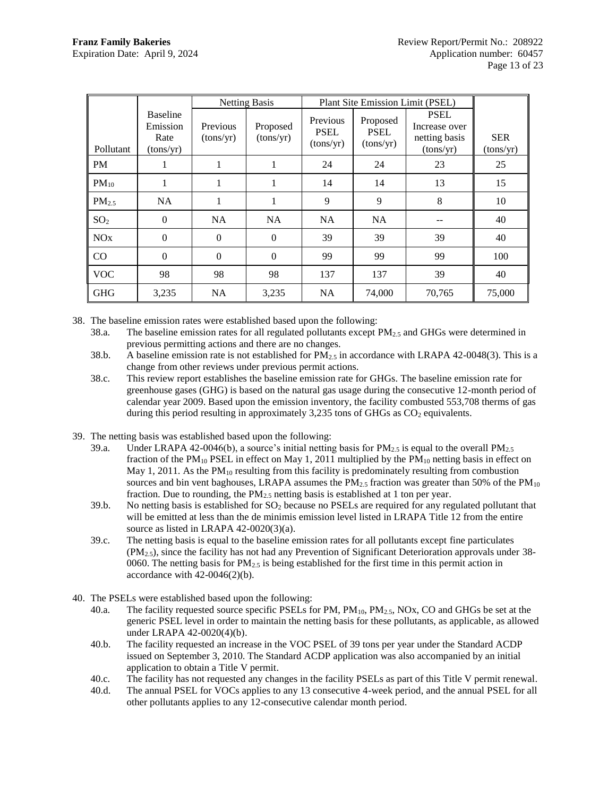|                       |                                                  |                       | <b>Netting Basis</b>  |                                      | Plant Site Emission Limit (PSEL)     |                                                            |                         |
|-----------------------|--------------------------------------------------|-----------------------|-----------------------|--------------------------------------|--------------------------------------|------------------------------------------------------------|-------------------------|
| Pollutant             | <b>Baseline</b><br>Emission<br>Rate<br>(tons/yr) | Previous<br>(tons/yr) | Proposed<br>(tons/yr) | Previous<br><b>PSEL</b><br>(tons/yr) | Proposed<br><b>PSEL</b><br>(tons/yr) | <b>PSEL</b><br>Increase over<br>netting basis<br>(tons/yr) | <b>SER</b><br>(tons/yr) |
| <b>PM</b>             |                                                  | 1                     |                       | 24                                   | 24                                   | 23                                                         | 25                      |
| $PM_{10}$             |                                                  | 1                     | 1                     | 14                                   | 14                                   | 13                                                         | 15                      |
| $PM_{2.5}$            | <b>NA</b>                                        | 1                     | 1                     | 9                                    | 9                                    | 8                                                          | 10                      |
| SO <sub>2</sub>       | $\Omega$                                         | <b>NA</b>             | <b>NA</b>             | <b>NA</b>                            | <b>NA</b>                            |                                                            | 40                      |
| <b>NO<sub>x</sub></b> | $\Omega$                                         | $\Omega$              | $\Omega$              | 39                                   | 39                                   | 39                                                         | 40                      |
| CO                    | $\Omega$                                         | $\mathbf{0}$          | $\Omega$              | 99                                   | 99                                   | 99                                                         | 100                     |
| <b>VOC</b>            | 98                                               | 98                    | 98                    | 137                                  | 137                                  | 39                                                         | 40                      |
| <b>GHG</b>            | 3,235                                            | <b>NA</b>             | 3,235                 | <b>NA</b>                            | 74,000                               | 70,765                                                     | 75,000                  |

38. The baseline emission rates were established based upon the following:

- 38.a. The baseline emission rates for all regulated pollutants except PM2.5 and GHGs were determined in previous permitting actions and there are no changes.
- 38.b. A baseline emission rate is not established for  $PM_{2.5}$  in accordance with LRAPA 42-0048(3). This is a change from other reviews under previous permit actions.
- 38.c. This review report establishes the baseline emission rate for GHGs. The baseline emission rate for greenhouse gases (GHG) is based on the natural gas usage during the consecutive 12-month period of calendar year 2009. Based upon the emission inventory, the facility combusted 553,708 therms of gas during this period resulting in approximately 3,235 tons of GHGs as  $CO<sub>2</sub>$  equivalents.
- 39. The netting basis was established based upon the following:
	- 39.a. Under LRAPA 42-0046(b), a source's initial netting basis for  $PM_{2.5}$  is equal to the overall  $PM_{2.5}$ fraction of the  $PM_{10}$  PSEL in effect on May 1, 2011 multiplied by the  $PM_{10}$  netting basis in effect on May 1, 2011. As the  $PM_{10}$  resulting from this facility is predominately resulting from combustion sources and bin vent baghouses, LRAPA assumes the  $PM_2$ , fraction was greater than 50% of the  $PM_{10}$ fraction. Due to rounding, the  $PM<sub>2.5</sub>$  netting basis is established at 1 ton per year.
	- 39.b. No netting basis is established for  $SO<sub>2</sub>$  because no PSELs are required for any regulated pollutant that will be emitted at less than the de minimis emission level listed in LRAPA Title 12 from the entire source as listed in LRAPA 42-0020(3)(a).
	- 39.c. The netting basis is equal to the baseline emission rates for all pollutants except fine particulates  $(PM<sub>2.5</sub>)$ , since the facility has not had any Prevention of Significant Deterioration approvals under 38-0060. The netting basis for  $PM_{2.5}$  is being established for the first time in this permit action in accordance with 42-0046(2)(b).
- 40. The PSELs were established based upon the following:
	- 40.a. The facility requested source specific PSELs for PM,  $PM_{10}$ ,  $PM_{2.5}$ , NOx, CO and GHGs be set at the generic PSEL level in order to maintain the netting basis for these pollutants, as applicable, as allowed under LRAPA 42-0020(4)(b).
	- 40.b. The facility requested an increase in the VOC PSEL of 39 tons per year under the Standard ACDP issued on September 3, 2010. The Standard ACDP application was also accompanied by an initial application to obtain a Title V permit.
	- 40.c. The facility has not requested any changes in the facility PSELs as part of this Title V permit renewal.
	- 40.d. The annual PSEL for VOCs applies to any 13 consecutive 4-week period, and the annual PSEL for all other pollutants applies to any 12-consecutive calendar month period.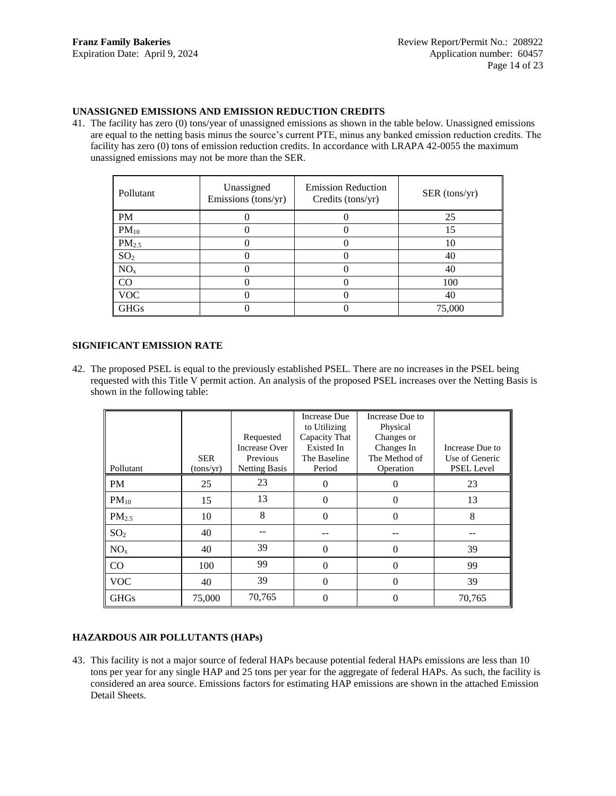## **UNASSIGNED EMISSIONS AND EMISSION REDUCTION CREDITS**

41. The facility has zero (0) tons/year of unassigned emissions as shown in the table below. Unassigned emissions are equal to the netting basis minus the source's current PTE, minus any banked emission reduction credits. The facility has zero (0) tons of emission reduction credits. In accordance with LRAPA 42-0055 the maximum unassigned emissions may not be more than the SER.

<span id="page-13-0"></span>

| Pollutant         | Unassigned<br>Emissions (tons/yr) | <b>Emission Reduction</b><br>Credits (tons/yr) | SER (tons/yr) |
|-------------------|-----------------------------------|------------------------------------------------|---------------|
| PM                |                                   |                                                | 25            |
| $PM_{10}$         |                                   |                                                | 15            |
| PM <sub>2.5</sub> |                                   |                                                | 10            |
| SO <sub>2</sub>   |                                   |                                                | 40            |
| NO <sub>x</sub>   |                                   |                                                | 40            |
| CO                |                                   |                                                | 100           |
| <b>VOC</b>        |                                   |                                                | 40            |
| <b>GHGs</b>       |                                   |                                                | 75,000        |

# **SIGNIFICANT EMISSION RATE**

42. The proposed PSEL is equal to the previously established PSEL. There are no increases in the PSEL being requested with this Title V permit action. An analysis of the proposed PSEL increases over the Netting Basis is shown in the following table:

<span id="page-13-1"></span>

|                   |            | Requested<br>Increase Over | <b>Increase Due</b><br>to Utilizing<br>Capacity That<br>Existed In | Increase Due to<br>Physical<br>Changes or<br>Changes In | Increase Due to   |
|-------------------|------------|----------------------------|--------------------------------------------------------------------|---------------------------------------------------------|-------------------|
|                   | <b>SER</b> | <b>Previous</b>            | The Baseline                                                       | The Method of                                           | Use of Generic    |
| Pollutant         | (tons/yr)  | <b>Netting Basis</b>       | Period                                                             | Operation                                               | <b>PSEL Level</b> |
| <b>PM</b>         | 25         | 23                         | $\theta$                                                           | 0                                                       | 23                |
| $PM_{10}$         | 15         | 13                         | $\overline{0}$                                                     | $\Omega$                                                | 13                |
| PM <sub>2.5</sub> | 10         | 8                          | $\theta$                                                           | $\Omega$                                                | 8                 |
| SO <sub>2</sub>   | 40         |                            |                                                                    |                                                         |                   |
| NO <sub>x</sub>   | 40         | 39                         | $\overline{0}$                                                     | $\theta$                                                | 39                |
| $\rm CO$          | 100        | 99                         | $\overline{0}$                                                     | $\theta$                                                | 99                |
| <b>VOC</b>        | 40         | 39                         | $\overline{0}$                                                     | $\theta$                                                | 39                |
| <b>GHGs</b>       | 75,000     | 70,765                     | $\theta$                                                           | $\theta$                                                | 70,765            |

# <span id="page-13-2"></span>**HAZARDOUS AIR POLLUTANTS (HAPs)**

43. This facility is not a major source of federal HAPs because potential federal HAPs emissions are less than 10 tons per year for any single HAP and 25 tons per year for the aggregate of federal HAPs. As such, the facility is considered an area source. Emissions factors for estimating HAP emissions are shown in the attached Emission Detail Sheets.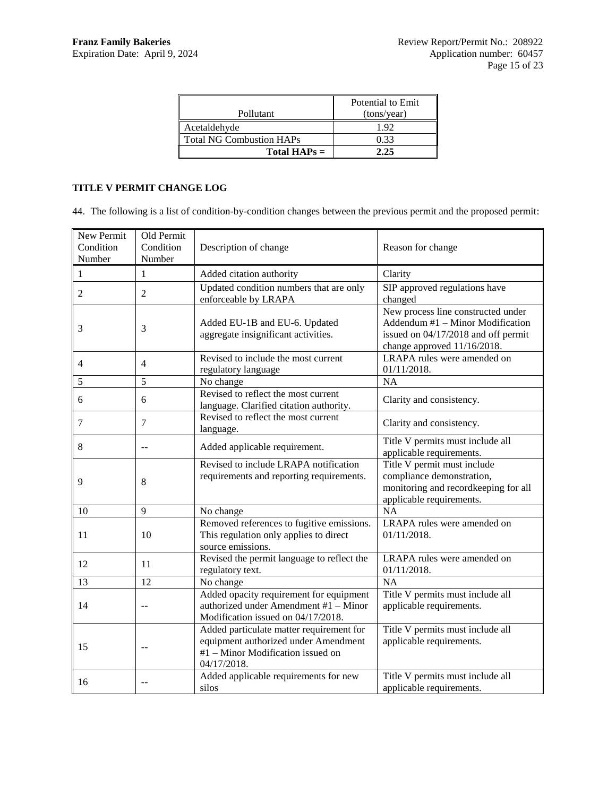<span id="page-14-0"></span>

|                                 | Potential to Emit |
|---------------------------------|-------------------|
| Pollutant                       | (tons/year)       |
| Acetaldehyde                    | 192               |
| <b>Total NG Combustion HAPs</b> | 0.33              |
| Total $HAPs =$                  | フ フミ              |

# **TITLE V PERMIT CHANGE LOG**

44. The following is a list of condition-by-condition changes between the previous permit and the proposed permit:

| New Permit<br>Condition<br>Number | Old Permit<br>Condition<br>Number | Description of change                                                                                                                | Reason for change                                                                                                                            |
|-----------------------------------|-----------------------------------|--------------------------------------------------------------------------------------------------------------------------------------|----------------------------------------------------------------------------------------------------------------------------------------------|
| 1                                 | $\mathbf{1}$                      | Added citation authority                                                                                                             | Clarity                                                                                                                                      |
| 2                                 | $\overline{2}$                    | Updated condition numbers that are only<br>enforceable by LRAPA                                                                      | SIP approved regulations have<br>changed                                                                                                     |
| 3                                 | 3                                 | Added EU-1B and EU-6. Updated<br>aggregate insignificant activities.                                                                 | New process line constructed under<br>Addendum #1 - Minor Modification<br>issued on 04/17/2018 and off permit<br>change approved 11/16/2018. |
| 4                                 | $\overline{4}$                    | Revised to include the most current<br>regulatory language                                                                           | LRAPA rules were amended on<br>01/11/2018.                                                                                                   |
| 5                                 | 5                                 | No change                                                                                                                            | <b>NA</b>                                                                                                                                    |
| 6                                 | 6                                 | Revised to reflect the most current<br>language. Clarified citation authority.                                                       | Clarity and consistency.                                                                                                                     |
| 7                                 | 7                                 | Revised to reflect the most current<br>language.                                                                                     | Clarity and consistency.                                                                                                                     |
| 8                                 | $-$                               | Added applicable requirement.                                                                                                        | Title V permits must include all<br>applicable requirements.                                                                                 |
| 9                                 | 8                                 | Revised to include LRAPA notification<br>requirements and reporting requirements.                                                    | Title V permit must include<br>compliance demonstration,<br>monitoring and recordkeeping for all<br>applicable requirements.                 |
| 10                                | 9                                 | No change                                                                                                                            | <b>NA</b>                                                                                                                                    |
| 11                                | 10                                | Removed references to fugitive emissions.<br>This regulation only applies to direct<br>source emissions.                             | <b>LRAPA</b> rules were amended on<br>01/11/2018.                                                                                            |
| 12                                | 11                                | Revised the permit language to reflect the<br>regulatory text.                                                                       | LRAPA rules were amended on<br>01/11/2018.                                                                                                   |
| 13                                | 12                                | No change                                                                                                                            | <b>NA</b>                                                                                                                                    |
| 14                                | $-$                               | Added opacity requirement for equipment<br>authorized under Amendment #1 - Minor<br>Modification issued on 04/17/2018.               | Title V permits must include all<br>applicable requirements.                                                                                 |
| 15                                | --                                | Added particulate matter requirement for<br>equipment authorized under Amendment<br>#1 - Minor Modification issued on<br>04/17/2018. | Title V permits must include all<br>applicable requirements.                                                                                 |
| 16                                | $-$                               | Added applicable requirements for new<br>silos                                                                                       | Title V permits must include all<br>applicable requirements.                                                                                 |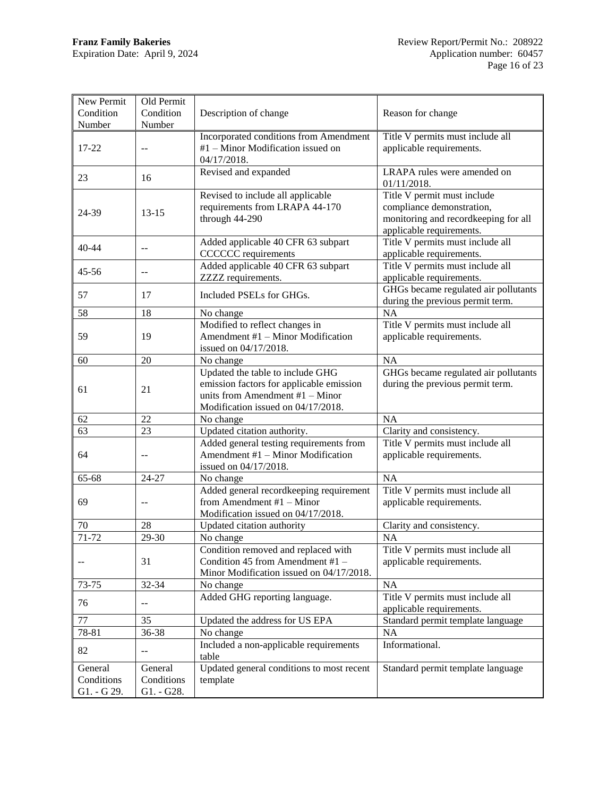| New Permit<br>Condition<br>Number    | Old Permit<br>Condition<br>Number             | Description of change                                                                                                                                   | Reason for change                                                                                                            |
|--------------------------------------|-----------------------------------------------|---------------------------------------------------------------------------------------------------------------------------------------------------------|------------------------------------------------------------------------------------------------------------------------------|
| $17 - 22$                            |                                               | <b>Incorporated conditions from Amendment</b><br>#1 - Minor Modification issued on<br>04/17/2018.                                                       | Title V permits must include all<br>applicable requirements.                                                                 |
| 23                                   | 16                                            | Revised and expanded                                                                                                                                    | LRAPA rules were amended on<br>01/11/2018.                                                                                   |
| 24-39                                | $13 - 15$                                     | Revised to include all applicable<br>requirements from LRAPA 44-170<br>through 44-290                                                                   | Title V permit must include<br>compliance demonstration,<br>monitoring and recordkeeping for all<br>applicable requirements. |
| 40-44                                | $-$                                           | Added applicable 40 CFR 63 subpart<br><b>CCCCCC</b> requirements                                                                                        | Title V permits must include all<br>applicable requirements.                                                                 |
| $45 - 56$                            | $-$                                           | Added applicable 40 CFR 63 subpart<br>ZZZZ requirements.                                                                                                | Title V permits must include all<br>applicable requirements.                                                                 |
| 57                                   | 17                                            | Included PSELs for GHGs.                                                                                                                                | GHGs became regulated air pollutants<br>during the previous permit term.                                                     |
| 58                                   | 18                                            | No change                                                                                                                                               | <b>NA</b>                                                                                                                    |
| 59                                   | 19                                            | Modified to reflect changes in<br>Amendment #1 - Minor Modification<br>issued on 04/17/2018.                                                            | Title V permits must include all<br>applicable requirements.                                                                 |
| 60                                   | 20                                            | No change                                                                                                                                               | <b>NA</b>                                                                                                                    |
| 61                                   | 21                                            | Updated the table to include GHG<br>emission factors for applicable emission<br>units from Amendment $#1$ – Minor<br>Modification issued on 04/17/2018. | GHGs became regulated air pollutants<br>during the previous permit term.                                                     |
| 62                                   | 22                                            | No change                                                                                                                                               | <b>NA</b>                                                                                                                    |
| 63                                   | 23                                            | Updated citation authority.                                                                                                                             | Clarity and consistency.                                                                                                     |
| 64                                   |                                               | Added general testing requirements from<br>Amendment #1 - Minor Modification<br>issued on 04/17/2018.                                                   | Title V permits must include all<br>applicable requirements.                                                                 |
| 65-68                                | 24-27                                         | No change                                                                                                                                               | <b>NA</b>                                                                                                                    |
| 69                                   | $-$                                           | Added general recordkeeping requirement<br>from Amendment $#1$ – Minor<br>Modification issued on 04/17/2018.                                            | Title V permits must include all<br>applicable requirements.                                                                 |
| 70                                   | 28                                            | Updated citation authority                                                                                                                              | Clarity and consistency.                                                                                                     |
| 71-72                                | 29-30                                         | No change                                                                                                                                               | <b>NA</b>                                                                                                                    |
| --                                   | 31                                            | Condition removed and replaced with<br>Condition 45 from Amendment #1 -<br>Minor Modification issued on 04/17/2018.                                     | Title V permits must include all<br>applicable requirements.                                                                 |
| 73-75                                | 32-34                                         | No change                                                                                                                                               | <b>NA</b>                                                                                                                    |
| 76                                   | $-$                                           | Added GHG reporting language.                                                                                                                           | Title V permits must include all<br>applicable requirements.                                                                 |
| 77                                   | 35                                            | Updated the address for US EPA                                                                                                                          | Standard permit template language                                                                                            |
| 78-81                                | 36-38                                         | No change                                                                                                                                               | NA                                                                                                                           |
| 82                                   | $\mathord{\hspace{1pt}\text{--}\hspace{1pt}}$ | Included a non-applicable requirements<br>table                                                                                                         | Informational.                                                                                                               |
| General<br>Conditions<br>G1. - G 29. | General<br>Conditions<br>G1. - G28.           | Updated general conditions to most recent<br>template                                                                                                   | Standard permit template language                                                                                            |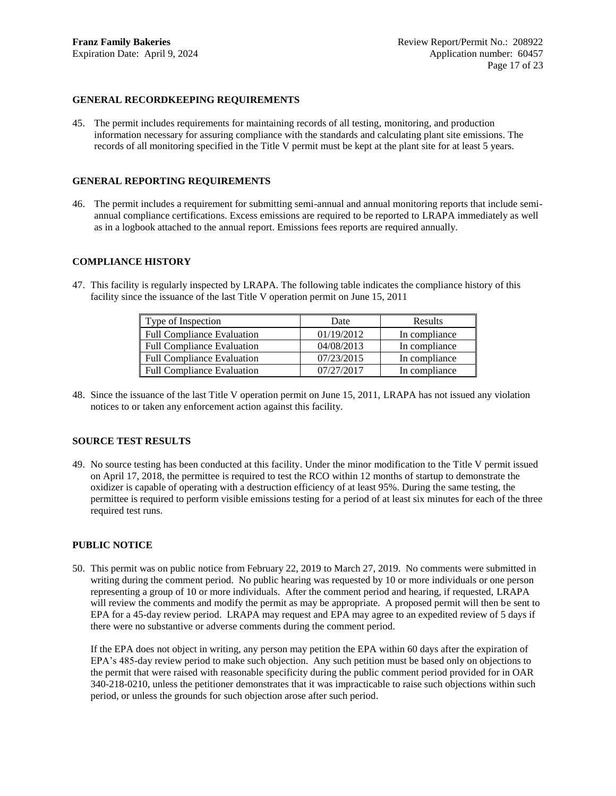# <span id="page-16-0"></span>**GENERAL RECORDKEEPING REQUIREMENTS**

45. The permit includes requirements for maintaining records of all testing, monitoring, and production information necessary for assuring compliance with the standards and calculating plant site emissions. The records of all monitoring specified in the Title V permit must be kept at the plant site for at least 5 years.

### **GENERAL REPORTING REQUIREMENTS**

46. The permit includes a requirement for submitting semi-annual and annual monitoring reports that include semiannual compliance certifications. Excess emissions are required to be reported to LRAPA immediately as well as in a logbook attached to the annual report. Emissions fees reports are required annually.

### **COMPLIANCE HISTORY**

47. This facility is regularly inspected by LRAPA. The following table indicates the compliance history of this facility since the issuance of the last Title V operation permit on June 15, 2011

<span id="page-16-2"></span><span id="page-16-1"></span>

| Type of Inspection                | Date       | Results       |
|-----------------------------------|------------|---------------|
| <b>Full Compliance Evaluation</b> | 01/19/2012 | In compliance |
| <b>Full Compliance Evaluation</b> | 04/08/2013 | In compliance |
| <b>Full Compliance Evaluation</b> | 07/23/2015 | In compliance |
| <b>Full Compliance Evaluation</b> | 07/27/2017 | In compliance |

48. Since the issuance of the last Title V operation permit on June 15, 2011, LRAPA has not issued any violation notices to or taken any enforcement action against this facility.

### <span id="page-16-3"></span>**SOURCE TEST RESULTS**

49. No source testing has been conducted at this facility. Under the minor modification to the Title V permit issued on April 17, 2018, the permittee is required to test the RCO within 12 months of startup to demonstrate the oxidizer is capable of operating with a destruction efficiency of at least 95%. During the same testing, the permittee is required to perform visible emissions testing for a period of at least six minutes for each of the three required test runs.

# <span id="page-16-4"></span>**PUBLIC NOTICE**

50. This permit was on public notice from February 22, 2019 to March 27, 2019. No comments were submitted in writing during the comment period. No public hearing was requested by 10 or more individuals or one person representing a group of 10 or more individuals. After the comment period and hearing, if requested, LRAPA will review the comments and modify the permit as may be appropriate. A proposed permit will then be sent to EPA for a 45-day review period. LRAPA may request and EPA may agree to an expedited review of 5 days if there were no substantive or adverse comments during the comment period.

If the EPA does not object in writing, any person may petition the EPA within 60 days after the expiration of EPA's 485-day review period to make such objection. Any such petition must be based only on objections to the permit that were raised with reasonable specificity during the public comment period provided for in OAR 340-218-0210, unless the petitioner demonstrates that it was impracticable to raise such objections within such period, or unless the grounds for such objection arose after such period.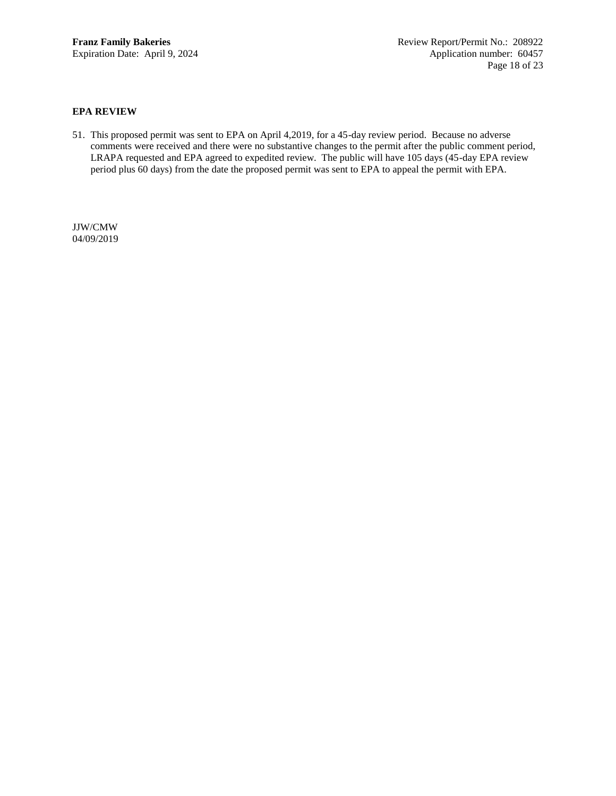## <span id="page-17-0"></span>**EPA REVIEW**

51. This proposed permit was sent to EPA on April 4,2019, for a 45-day review period. Because no adverse comments were received and there were no substantive changes to the permit after the public comment period, LRAPA requested and EPA agreed to expedited review. The public will have 105 days (45-day EPA review period plus 60 days) from the date the proposed permit was sent to EPA to appeal the permit with EPA.

JJW/CMW 04/09/2019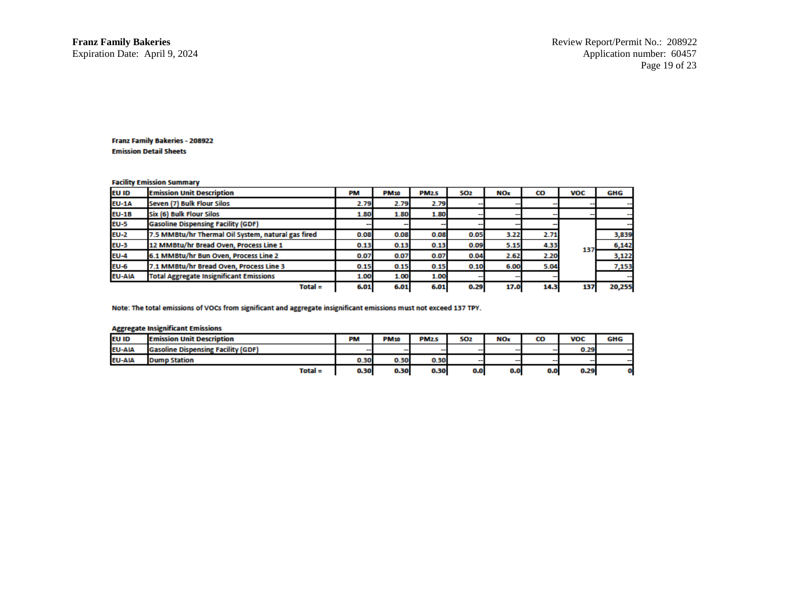#### **Facility Emission Summary**

| <b>EU ID</b>  | <b>Emission Unit Description</b>                   | PM   | <b>PM10</b> | <b>PM2.5</b> | SO <sub>2</sub> | <b>NOx</b> | CO   | <b>VOC</b> | GHG    |
|---------------|----------------------------------------------------|------|-------------|--------------|-----------------|------------|------|------------|--------|
| <b>EU-1A</b>  | Seven (7) Bulk Flour Silos                         | 2.79 | 2.79        | 2.79         |                 |            |      |            |        |
| <b>EU-1B</b>  | Six (6) Bulk Flour Silos                           | 1.80 | 1.80        | 1.80         |                 |            |      |            |        |
| <b>EU-5</b>   | <b>Gasoline Dispensing Facility (GDF)</b>          |      |             |              |                 |            |      |            |        |
| $EU-2$        | 7.5 MMBtu/hr Thermal Oil System, natural gas fired | 0.08 | 0.08        | 0.08         | 0.05            | 3.22       | 2.71 |            | 3,839  |
| <b>EU-3</b>   | 12 MMBtu/hr Bread Oven, Process Line 1             | 0.13 | 0.13        | 0.13         | 0.09            | 5.15       | 4.33 | 137        | 6,142  |
| <b>EU-4</b>   | 6.1 MMBtu/hr Bun Oven, Process Line 2              | 0.07 | 0.07        | 0.07         | 0.04            | 2.62       | 2.20 |            | 3,122  |
| <b>EU-6</b>   | 7.1 MMBtu/hr Bread Oven, Process Line 3            | 0.15 | 0.15        | 0.15         | 0.10            | 6.00       | 5.04 |            | 7,153  |
| <b>EU-AIA</b> | <b>Total Aggregate Insignificant Emissions</b>     | 1.00 | 1.00        | 1.00         |                 |            |      |            |        |
|               | $Total =$                                          | 6.01 | 6.01        | 6.01         | 0.29            | 17.0       | 14.3 | 137        | 20,255 |

Note: The total emissions of VOCs from significant and aggregate insignificant emissions must not exceed 137 TPY.

#### **Aggregate Insignificant Emissions**

| $\sim$        |                                           |           |                          |              |                          |                          |                          |                          |            |
|---------------|-------------------------------------------|-----------|--------------------------|--------------|--------------------------|--------------------------|--------------------------|--------------------------|------------|
| <b>EU ID</b>  | <b>Emission Unit Description</b>          | <b>PM</b> | <b>PM10</b>              | <b>PM2.5</b> | <b>SO2</b>               | <b>NOx</b>               | CO                       | <b>VOC</b>               | <b>GHG</b> |
| <b>EU-AIA</b> | <b>Gasoline Dispensing Facility (GDF)</b> | $\sim$    | $\overline{\phantom{a}}$ | $\sim$       | $\sim$                   | $\sim$                   | $\sim$                   | 0.29                     | --         |
| <b>EU-AIA</b> | <b>Dump Station</b>                       | 0.30      | 0.30                     | 0.30         | $\overline{\phantom{a}}$ | $\overline{\phantom{a}}$ | $\overline{\phantom{a}}$ | $\overline{\phantom{a}}$ | --         |
|               | $Total =$                                 | 0.30      | 0.30                     | 0.30         | 0.0                      | 0.0                      | 0.0                      | 0.29                     |            |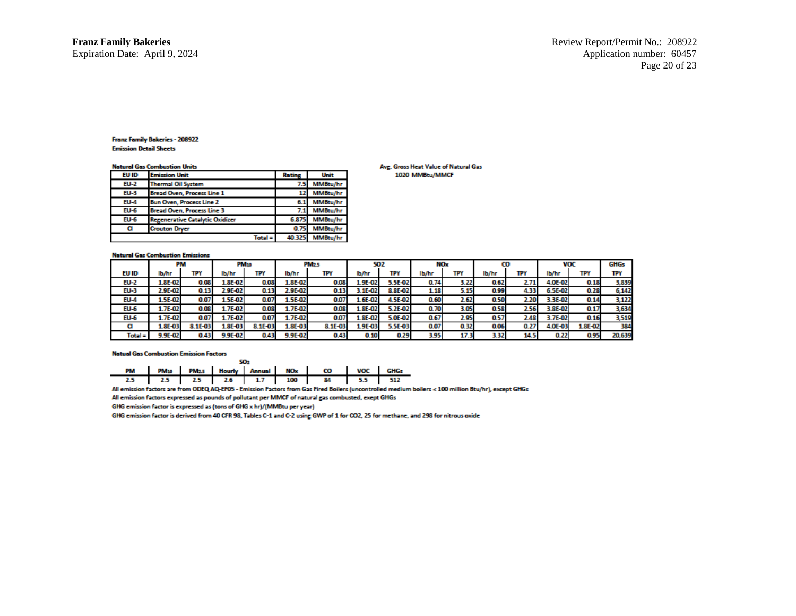**Natural Cas Combustion Units** 

| EU ID       | <b>Emission Unit</b>                   | Rating | Unit     |  |  |  |  |
|-------------|----------------------------------------|--------|----------|--|--|--|--|
| <b>EU-2</b> | <b>Thermal Oil System</b>              | 7.5    | MMBtu/hr |  |  |  |  |
| <b>EU-3</b> | <b>Bread Oven, Process Line 1</b>      | 12     | MMBtu/hr |  |  |  |  |
| $EU-4$      | <b>Bun Oven, Process Line 2</b>        | 6.1    | MMBtu/hr |  |  |  |  |
| $EU-6$      | <b>Bread Oven, Process Line 3</b>      | 7.1    | MMBtu/hr |  |  |  |  |
| $EU-6$      | <b>Regenerative Catalytic Oxidizer</b> | 6.875  | MMBtu/hr |  |  |  |  |
| α           | <b>Crouton Dryer</b>                   | 0.75   | MMBtu/hr |  |  |  |  |
|             | Total                                  | 40.32  | MMBtu/hr |  |  |  |  |

#### Avg. Gross Heat Value of Natural Gas 1020 MMBtu/MMCF

#### **Natural Gas Combustion Emissions**

|             | PM            |         |                | PM <sub>10</sub> | <b>PM<sub>2.5</sub></b> |         | <b>SO2</b>   |         | NOx   |       | co    |      | <b>VOC</b>    |         | <b>GHGs</b> |
|-------------|---------------|---------|----------------|------------------|-------------------------|---------|--------------|---------|-------|-------|-------|------|---------------|---------|-------------|
| EU ID       | lb/hr         | ΤΡΥ     | lb/hr          | TΡY              | lb/hr                   | TPY     | lb/hr        | TPY     | lb/hr | TΡY   | lb/hr | TPY  | lb/hr         | TΡY     | TP١         |
| <b>EU-2</b> | <b>.8E-02</b> | 0.08    | $1.8E - 02$    | 0.08             | 1.8E-02                 | 0.08    | $4.9E - 07$  | 5.5E-02 | 0.74  | 3.22  | 0.62  | 2.71 | 4.OE-02       | 0.18    | 3,839       |
| <b>EU-3</b> | 2.9E-02       | 0.13    | 2.9E-02        | 0.13             | $2.9E - 02$             | 0.13    | $.1E-0.7$    | 8.8E-02 | 1.18  | 5.15  | 0.99  | 4.33 | 6.5E-02       | 0.28    | 6,142       |
| <b>EU-4</b> | $.5E-02$      | 0.07    | $1.5E - 02$    | 0.07             | $4.5E-02$               | 0.07    | $4.6E - 07$  | 4.5E-02 | 0.60  | 2.62  | 0.50  | 2.20 | 3E-02         | 0.14    | 3,122       |
| <b>EU-6</b> | 1.7E-02       | 0.08    | 1.7E-02        | 0.08             | 1.7E-02                 | 0.08    | $4.8E - 07$  | 5.2E-02 | 0.70  | 3.05  | 0.58  | 2.56 | <b>.8E-02</b> | 0.1     | 3,634       |
| <b>EU-6</b> | $4.7E - 02$   | 0.07    | 1.7E-02'       | 0.07             | $4.7E - 02$             | 0.07    | $4.8E - 0.7$ | 5.0E-02 | 0.67  | 2.95  | 0.57  | 2.48 | 3.7E-02       | 0.16    | 3,519       |
|             | 1.8E-03       | 8.1E-03 | <b>L.8E-03</b> | 8.1E-03          | 1.8E-03                 | 8.1E-03 | 1.9E-03      | 5.5E-03 | 0.07  | 0.32. | 0.06  | 0.27 | 4.0E-03       | 1.8E-02 | 384         |
| $Total =$   | 9.9E-02       | 0.43    | 9.9E-02        | 0.43             | 9.9E-02                 | 0.43    | 0.10         | 0.29    | 3.95  | 17.3  | 3.32  | 14.5 | 0.22          | 0.95    | 20,639      |

#### **Natual Gas Combustion Emission Factors**

|  |  |  |  |  |  | PM PM10 PM2.5 Hourly Annual NOx CO VOC GHGs |  |  |
|--|--|--|--|--|--|---------------------------------------------|--|--|
|  |  |  |  |  |  | 2.5 2.5 2.5 2.6 1.7 100 84 5.5 512          |  |  |

 $\overline{a}$ 

All emission factors are from ODEQ AQ-EF05 - Emission Factors from Gas Fired Boilers (uncontrolled medium boilers < 100 million Btu/hr), except GHGs

All emission factors expressed as pounds of pollutant per MMCF of natural gas combusted, exept GHGs

GHG emission factor is expressed as (tons of GHG x hr)/(MMBtu per year)

GHG emission factor is derived from 40 CFR 98, Tables C-1 and C-2 using GWP of 1 for CO2, 25 for methane, and 298 for nitrous oxide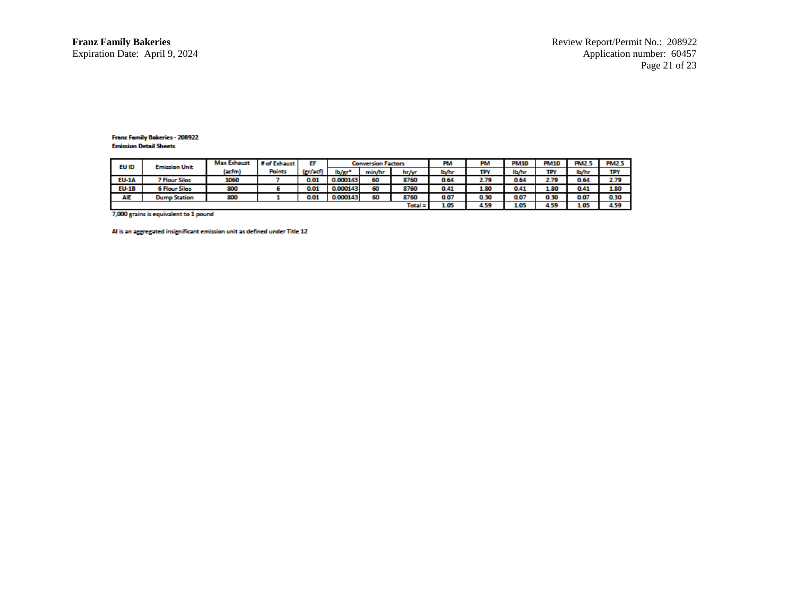| <b>EU ID</b><br><b>Emission Unit</b> |                      | <b>Max Exhaust</b> | # of Exhaust | EF     |          | <b>Conversion Factors</b> |           | PM   | PM    | <b>PM10</b> | <b>PM10</b> | <b>PM2.5</b> | <b>PM2.5</b> |
|--------------------------------------|----------------------|--------------------|--------------|--------|----------|---------------------------|-----------|------|-------|-------------|-------------|--------------|--------------|
|                                      | (acfm)               | <b>Points</b>      | $(rrt)$ ach  | lb/er" | min/hr   | hr/w                      | lb/hr     | TPY  | lb/hr | <b>TDV</b>  | lb/hr       | TPY          |              |
| <b>EU-1A</b>                         | <b>7 Flour Silos</b> | 1060               |              | 0.01   | 0.000143 | 60                        | 8760      | 0.64 | 2.79  | 0.64        | 2.79        | 0.64         | 2.79         |
| <b>EU-1B</b>                         | <b>6 Flour Silos</b> | 800                |              | 0.01   | 0.000143 | 60                        | 8760      | 0.41 | 1.80  | 0.41        | 1.80        | 0.41         | 1.80         |
| AIE                                  | <b>Dump Station</b>  | 800                |              | 0.01   | 0.000143 | 60                        | 8760      | 0.07 | 0.30  | 0.07        | 0.30        | 0.07         | 0.30         |
|                                      |                      |                    |              |        |          |                           | $Total =$ | 105  | 4 5 Q | 1.05        | 4.59        | 1.05         | A 50         |

7,000 grains is equivalent to 1 pound

Al is an aggregated insignificant emission unit as defined under Title 12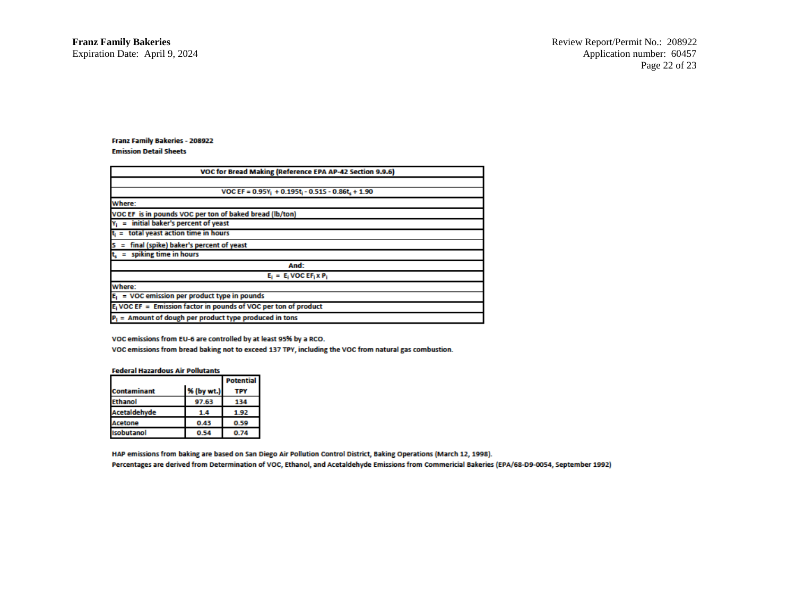# **Franz Family Bakeries - 208922**

#### **Emission Detail Sheets**

| VOC for Bread Making (Reference EPA AP-42 Section 9.9.6)           |
|--------------------------------------------------------------------|
|                                                                    |
| VOC EF = $0.95Y_1 + 0.195t_1 - 0.515 - 0.86t_1 + 1.90$             |
| Where:                                                             |
| VOC EF is in pounds VOC per ton of baked bread (lb/ton)            |
| $Y_1$ = initial baker's percent of yeast                           |
| $t_i =$ total yeast action time in hours                           |
| final (spike) baker's percent of yeast<br>$S =$                    |
| $t_s$ = spiking time in hours                                      |
| And:                                                               |
| $E_i = E_i$ VOC EF <sub>i</sub> x P <sub>i</sub>                   |
| Where:                                                             |
| $E_i$ = VOC emission per product type in pounds                    |
| $E_i$ VOC EF = Emission factor in pounds of VOC per ton of product |
| $P_1$ = Amount of dough per product type produced in tons          |

VOC emissions from EU-6 are controlled by at least 95% by a RCO.

VOC emissions from bread baking not to exceed 137 TPY, including the VOC from natural gas combustion.

#### **Federal Hazardous Air Pollutants**

|                    | <b>Potential</b> |      |  |
|--------------------|------------------|------|--|
| <b>Contaminant</b> | % (by wt.)       |      |  |
| <b>Ethanol</b>     | 97.63            | 134  |  |
| Acetaldehyde       | 14               | 1.92 |  |
| <b>Acetone</b>     | 0.43             | 0.59 |  |
| <b>Isobutanol</b>  | 0.54             | 0.74 |  |

HAP emissions from baking are based on San Diego Air Pollution Control District, Baking Operations (March 12, 1998). Percentages are derived from Determination of VOC, Ethanol, and Acetaldehyde Emissions from Commericial Bakeries (EPA/68-D9-0054, September 1992)